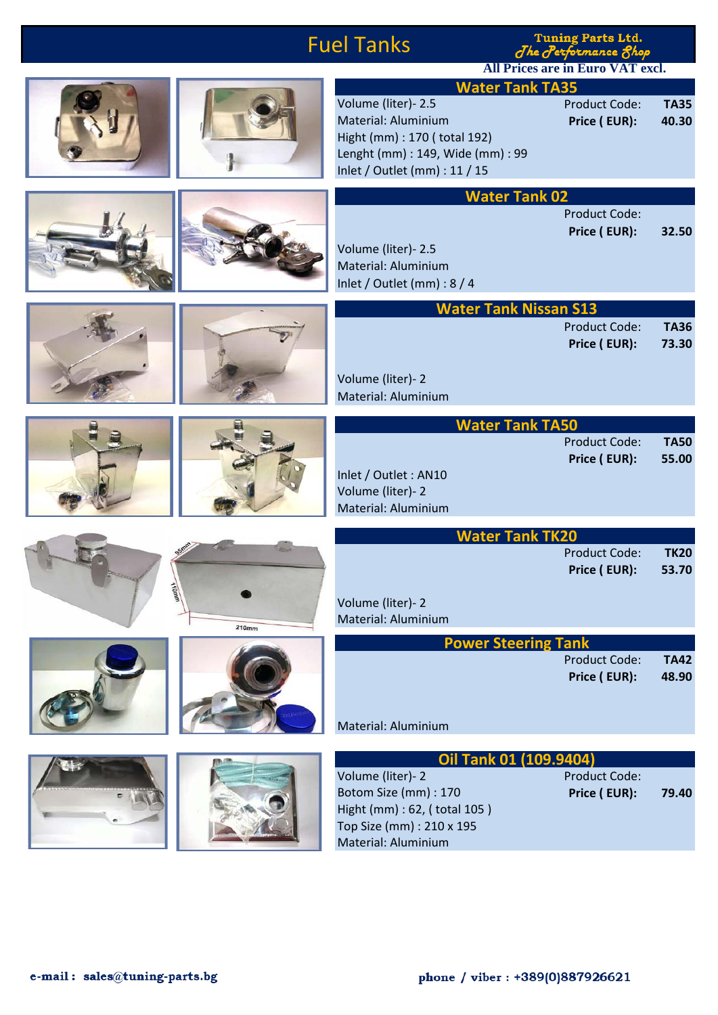|                       | <b>Fuel Tanks</b>                                                                                                                                                          | <b>Tuning Parts Ltd.</b><br>The Performance 8hop |                      |  |
|-----------------------|----------------------------------------------------------------------------------------------------------------------------------------------------------------------------|--------------------------------------------------|----------------------|--|
|                       |                                                                                                                                                                            | <b>All Prices are in Euro VAT excl.</b>          |                      |  |
|                       | <b>Water Tank TA35</b><br>Volume (liter)- 2.5<br>Material: Aluminium<br>Hight (mm) : 170 (total 192)<br>Lenght (mm) : 149, Wide (mm) : 99<br>Inlet / Outlet (mm) : 11 / 15 | <b>Product Code:</b><br>Price (EUR):             | <b>TA35</b><br>40.30 |  |
|                       |                                                                                                                                                                            | <b>Water Tank 02</b>                             |                      |  |
|                       | Volume (liter)- 2.5<br>Material: Aluminium<br>Inlet / Outlet (mm) : 8 / 4                                                                                                  | <b>Product Code:</b><br>Price (EUR):             | 32.50                |  |
|                       |                                                                                                                                                                            | <b>Water Tank Nissan S13</b>                     |                      |  |
|                       | Volume (liter)-2<br>Material: Aluminium                                                                                                                                    | <b>Product Code:</b><br>Price (EUR):             | <b>TA36</b><br>73.30 |  |
|                       | <b>Water Tank TA50</b>                                                                                                                                                     |                                                  |                      |  |
|                       | Inlet / Outlet : AN10<br>Volume (liter)-2<br>Material: Aluminium                                                                                                           | <b>Product Code:</b><br>Price (EUR):             | <b>TA50</b><br>55.00 |  |
|                       | <b>Water Tank TK20</b>                                                                                                                                                     |                                                  |                      |  |
| <b>HOMMA</b><br>210mm | Volume (liter)-2<br>Material: Aluminium                                                                                                                                    | <b>Product Code:</b><br>Price (EUR):             | <b>TK20</b><br>53.70 |  |
|                       | <b>Power Steering Tank</b>                                                                                                                                                 |                                                  |                      |  |
|                       | Material: Aluminium                                                                                                                                                        | <b>Product Code:</b><br>Price (EUR):             | <b>TA42</b><br>48.90 |  |
|                       |                                                                                                                                                                            |                                                  |                      |  |
|                       | <b>Oil Tank 01 (109.9404)</b><br>Volume (liter)-2<br>Botom Size (mm) : 170<br>Hight (mm) : 62, (total 105)<br>Top Size (mm) : 210 x 195<br>Material: Aluminium             | <b>Product Code:</b><br>Price (EUR):             | 79.40                |  |

Material: Aluminium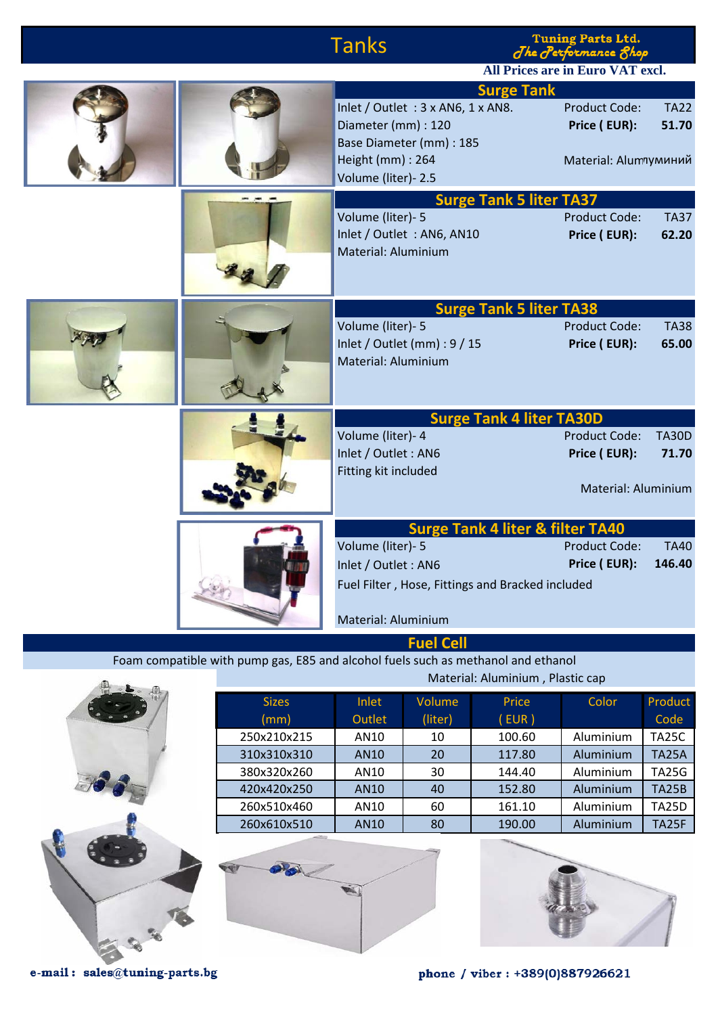|                                  |  | <b>Tanks</b>                                                                                                                 | <b>Tuning Parts Ltd.</b><br>The Performance Shop<br>All Prices are in Euro VAT excl.                         |
|----------------------------------|--|------------------------------------------------------------------------------------------------------------------------------|--------------------------------------------------------------------------------------------------------------|
|                                  |  | Inlet / Outlet : 3 x AN6, 1 x AN8.<br>Diameter (mm) : 120<br>Base Diameter (mm) : 185<br>Height (mm) : 264                   | <b>Surge Tank</b><br><b>Product Code:</b><br><b>TA22</b><br>Price (EUR):<br>51.70<br>Material: Аlumлуминий   |
|                                  |  | Volume (liter)- 2.5<br>Volume (liter)- 5<br>Inlet / Outlet : AN6, AN10<br>Material: Aluminium                                | <b>Surge Tank 5 liter TA37</b><br><b>Product Code:</b><br><b>TA37</b><br>Price (EUR):<br>62.20               |
|                                  |  | Volume (liter)- 5<br>Inlet / Outlet (mm) : 9 / 15<br>Material: Aluminium                                                     | <b>Surge Tank 5 liter TA38</b><br><b>Product Code:</b><br><b>TA38</b><br>Price (EUR):<br>65.00               |
|                                  |  | Volume (liter)- 4<br>Inlet / Outlet: AN6                                                                                     | <b>Surge Tank 4 liter TA30D</b><br><b>Product Code:</b><br><b>TA30D</b><br>Price (EUR):<br>71.70             |
|                                  |  | Fitting kit included                                                                                                         | Material: Aluminium                                                                                          |
|                                  |  | Volume (liter)- 5<br>Inlet / Outlet : AN6<br>Fuel Filter, Hose, Fittings and Bracked included                                | <b>Surge Tank 4 liter &amp; filter TA40</b><br><b>Product Code:</b><br><b>TA40</b><br>Price (EUR):<br>146.40 |
|                                  |  | Material: Aluminium<br><b>Fuel Cell</b><br>Foam compatible with pump gas, E85 and alcohol fuels such as methanol and ethanol |                                                                                                              |
| Material: Aluminium, Plastic cap |  |                                                                                                                              |                                                                                                              |

**This is** 



Sizes Inlet Volume Price Color Product (mm) Outlet (liter) ( EUR ) Code 250x210x215 | AN10 | 10 | 100.60 | Aluminium TA25C 310x310x310 | AN10 | 20 | 117.80 | Aluminium | TA25A 380x320x260 | AN10 | 30 | 144.40 | Aluminium TA25G 420x420x250 | AN10 | 40 | 152.80 | Aluminium | TA25B 260x510x460 | AN10 | 60 | 161.10 | Aluminium | TA25D 260x610x510 | AN10 | 80 | 190.00 | Aluminium TA25F



e-mail: sales@tuning-parts.bg

phone / viber: +389(0)887926621